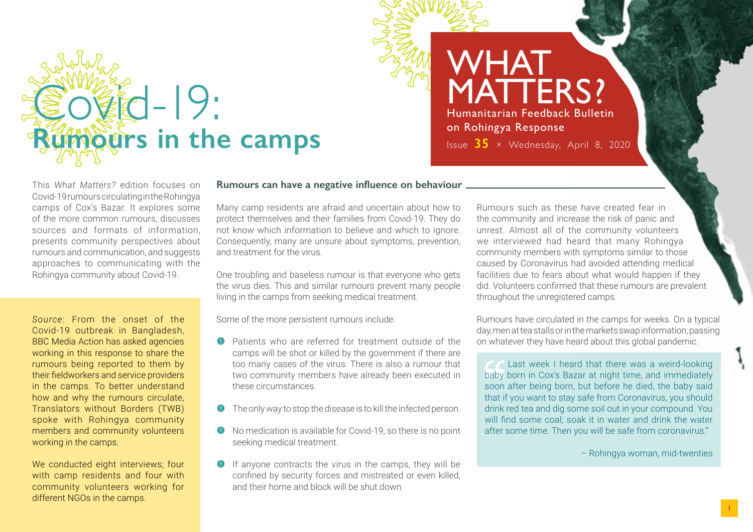# $-19:$ *<b>Ruposition* in the camps

## WHAT **MATTERS?** Humanitarian Feedback Bulletin on Rohingya Response Issue **35** × Wednesday, April 8, 2020

This *What Matters?* edition focuses on Covid-19 rumours circulating in the Rohingya camps of Cox's Bazar. It explores some of the more common rumours, discusses sources and formats of information, presents community perspectives about rumours and communication, and suggests approaches to communicating with the Rohingya community about Covid-19.

*Source*: From the onset of the Covid-19 outbreak in Bangladesh, BBC Media Action has asked agencies working in this response to share the rumours being reported to them by their fieldworkers and service providers in the camps. To better understand how and why the rumours circulate, Translators without Borders (TWB) spoke with Rohingya community members and community volunteers working in the camps.

We conducted eight interviews: four with camp residents and four with community volunteers working for different NGOs in the camps.

## **Rumours can have a negative influence on behaviour**

Many camp residents are afraid and uncertain about how to protect themselves and their families from Covid-19. They do not know which information to believe and which to ignore. Consequently, many are unsure about symptoms, prevention, and treatment for the virus.

One troubling and baseless rumour is that everyone who gets the virus dies. This and similar rumours prevent many people living in the camps from seeking medical treatment.

Some of the more persistent rumours include:

- **(** Patients who are referred for treatment outside of the camps will be shot or killed by the government if there are too many cases of the virus. There is also a rumour that two community members have already been executed in these circumstances.
- The only way to stop the disease is to kill the infected person.
- **•** No medication is available for Covid-19, so there is no point seeking medical treatment.
- $\bullet$  If anyone contracts the virus in the camps, they will be confined by security forces and mistreated or even killed, and their home and block will be shut down.

Rumours such as these have created fear in the community and increase the risk of panic and unrest. Almost all of the community volunteers we interviewed had heard that many Rohingya community members with symptoms similar to those caused by Coronavirus had avoided attending medical facilities due to fears about what would happen if they did. Volunteers confirmed that these rumours are prevalent throughout the unregistered camps.

Rumours have circulated in the camps for weeks. On a typical day, men at tea stalls or in the markets swap information, passing on whatever they have heard about this global pandemic.

**Contact Setup Last week I heard that there was a weird-looking** baby born in Cox's Bazar at night time, and immediately soon after being born, but before he died, the baby said that if you want to stay safe from Coronavirus, you should drink red tea and dig some soil out in your compound. You will find some coal; soak it in water and drink the water after some time. Then you will be safe from coronavirus."

– Rohingya woman, mid-twenties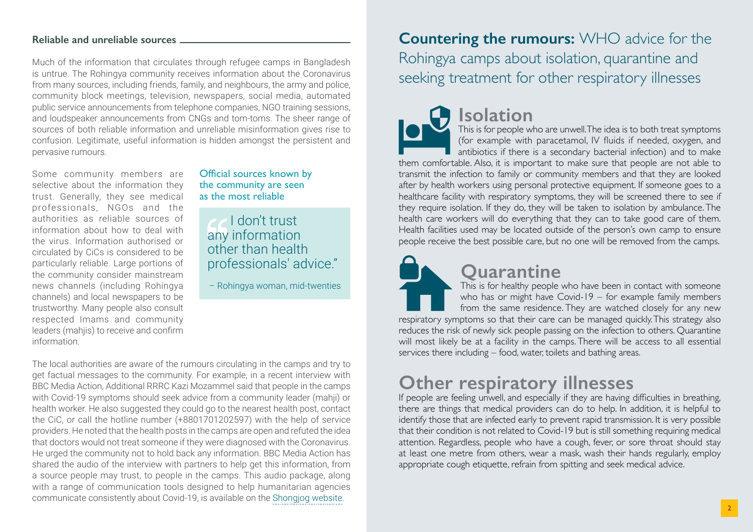## **Reliable and unreliable sources**

Much of the information that circulates through refugee camps in Bangladesh is untrue. The Rohingya community receives information about the Coronavirus from many sources, including friends, family, and neighbours, the army and police, community block meetings, television, newspapers, social media, automated public service announcements from telephone companies, NGO training sessions, and loudspeaker announcements from CNGs and tom-toms. The sheer range of sources of both reliable information and unreliable misinformation gives rise to confusion. Legitimate, useful information is hidden amongst the persistent and pervasive rumours.

Some community members are selective about the information they trust. Generally, they see medical professionals, NGOs and the authorities as reliable sources of information about how to deal with the virus. Information authorised or circulated by CiCs is considered to be particularly reliable. Large portions of the community consider mainstream news channels (including Rohingya channels) and local newspapers to be trustworthy. Many people also consult respected Imams and community leaders (mahjis) to receive and confirm information.

### Official sources known by the community are seen as the most reliable

 $\epsilon$  I don't trust any information other than health professionals' advice."

– Rohingya woman, mid-twenties

The local authorities are aware of the rumours circulating in the camps and try to get factual messages to the community. For example, in a recent interview with BBC Media Action, Additional RRRC Kazi Mozammel said that people in the camps with Covid-19 symptoms should seek advice from a community leader (mahji) or health worker. He also suggested they could go to the nearest health post, contact the CiC, or call the hotline number (+8801701202597) with the help of service providers. He noted that the health posts in the camps are open and refuted the idea that doctors would not treat someone if they were diagnosed with the Coronavirus. He urged the community not to hold back any information. BBC Media Action has shared the audio of the interview with partners to help get this information, from a source people may trust, to people in the camps. This audio package, along with a range of communication tools designed to help humanitarian agencies communicate consistently about Covid-19, is available on the [Shongjog website.](http://shongjog.org.bd/)

## **Countering the rumours:** WHO advice for the Rohingya camps about isolation, quarantine and seeking treatment for other respiratory illnesses

# **Isolation**

This is for people who are unwell. The idea is to both treat symptoms (for example with paracetamol, IV fluids if needed, oxygen, and antibiotics if there is a secondary bacterial infection) and to make

them comfortable. Also, it is important to make sure that people are not able to transmit the infection to family or community members and that they are looked after by health workers using personal protective equipment. If someone goes to a healthcare facility with respiratory symptoms, they will be screened there to see if they require isolation. If they do, they will be taken to isolation by ambulance. The health care workers will do everything that they can to take good care of them. Health facilities used may be located outside of the person's own camp to ensure people receive the best possible care, but no one will be removed from the camps.

# **Quarantine**

This is for healthy people who have been in contact with someone who has or might have Covid-19 – for example family members from the same residence. They are watched closely for any new respiratory symptoms so that their care can be managed quickly. This strategy also reduces the risk of newly sick people passing on the infection to others. Quarantine will most likely be at a facility in the camps. There will be access to all essential services there including – food, water, toilets and bathing areas.

## **Other respiratory illnesses**

If people are feeling unwell, and especially if they are having difficulties in breathing, there are things that medical providers can do to help. In addition, it is helpful to identify those that are infected early to prevent rapid transmission. It is very possible that their condition is not related to Covid-19 but is still something requiring medical attention. Regardless, people who have a cough, fever, or sore throat should stay at least one metre from others, wear a mask, wash their hands regularly, employ appropriate cough etiquette, refrain from spitting and seek medical advice.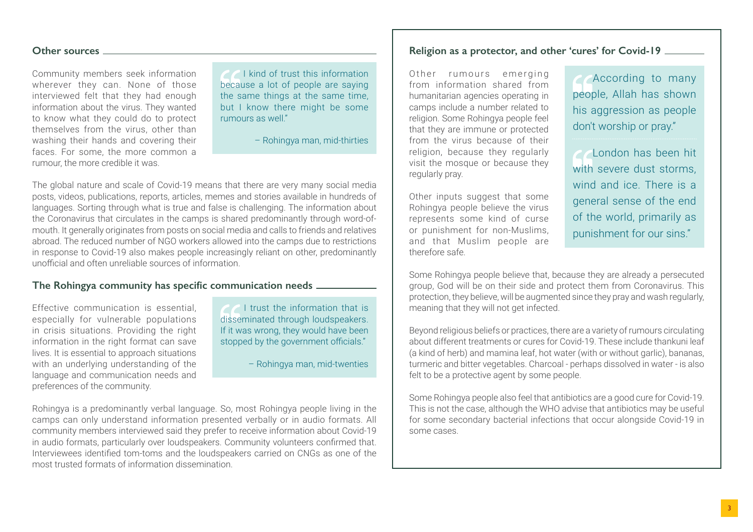### **Other sources**

Community members seek information wherever they can. None of those interviewed felt that they had enough information about the virus. They wanted to know what they could do to protect themselves from the virus, other than washing their hands and covering their faces. For some, the more common a rumour, the more credible it was.

**COLU** kind of trust this information because a lot of people are saying the same things at the same time, but I know there might be some rumours as well."

– Rohingya man, mid-thirties

The global nature and scale of Covid-19 means that there are very many social media posts, videos, publications, reports, articles, memes and stories available in hundreds of languages. Sorting through what is true and false is challenging. The information about the Coronavirus that circulates in the camps is shared predominantly through word-ofmouth. It generally originates from posts on social media and calls to friends and relatives abroad. The reduced number of NGO workers allowed into the camps due to restrictions in response to Covid-19 also makes people increasingly reliant on other, predominantly unofficial and often unreliable sources of information.

## **The Rohingya community has specific communication needs**

Effective communication is essential, especially for vulnerable populations in crisis situations. Providing the right information in the right format can save lives. It is essential to approach situations with an underlying understanding of the language and communication needs and preferences of the community.

**C** I trust the information that is disseminated through loudspeakers. If it was wrong, they would have been stopped by the government officials."

– Rohingya man, mid-twenties

Rohingya is a predominantly verbal language. So, most Rohingya people living in the camps can only understand information presented verbally or in audio formats. All community members interviewed said they prefer to receive information about Covid-19 in audio formats, particularly over loudspeakers. Community volunteers confirmed that. Interviewees identified tom-toms and the loudspeakers carried on CNGs as one of the most trusted formats of information dissemination.

## **Religion as a protector, and other 'cures' for Covid-19**

Other rumours emerging from information shared from humanitarian agencies operating in camps include a number related to religion. Some Rohingya people feel that they are immune or protected from the virus because of their religion, because they regularly visit the mosque or because they regularly pray.

Other inputs suggest that some Rohingya people believe the virus represents some kind of curse or punishment for non-Muslims, and that Muslim people are therefore safe.

According to many people, Allah has shown his aggression as people don't worship or pray."

**London has been hit** with severe dust storms. wind and ice. There is a general sense of the end of the world, primarily as punishment for our sins."

Some Rohingya people believe that, because they are already a persecuted group, God will be on their side and protect them from Coronavirus. This protection, they believe, will be augmented since they pray and wash regularly, meaning that they will not get infected.

Beyond religious beliefs or practices, there are a variety of rumours circulating about different treatments or cures for Covid-19. These include thankuni leaf (a kind of herb) and mamina leaf, hot water (with or without garlic), bananas, turmeric and bitter vegetables. Charcoal - perhaps dissolved in water - is also felt to be a protective agent by some people.

Some Rohingya people also feel that antibiotics are a good cure for Covid-19. This is not the case, although the WHO advise that antibiotics may be useful for some secondary bacterial infections that occur alongside Covid-19 in some cases.